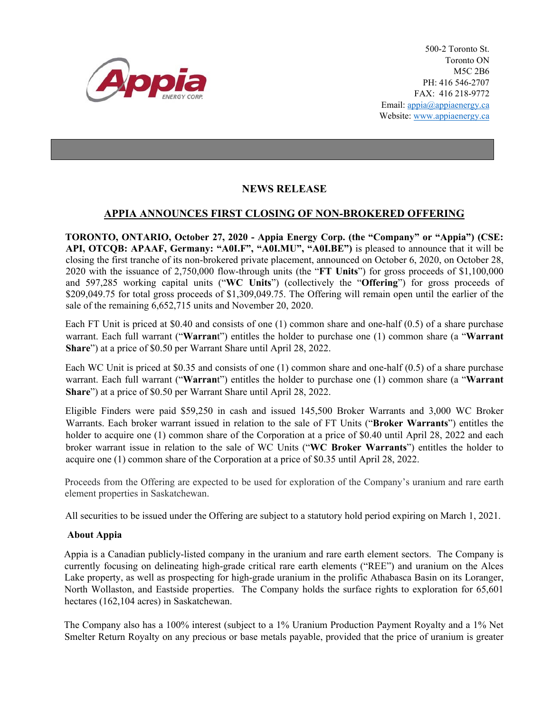

500-2 Toronto St. Toronto ON M5C 2B6 PH: 416 546-2707 FAX: 416 218-9772 Email: appia@appiaenergy.ca Website: www.appiaenergy.ca

## **NEWS RELEASE**

## **APPIA ANNOUNCES FIRST CLOSING OF NON-BROKERED OFFERING**

**TORONTO, ONTARIO, October 27, 2020 - Appia Energy Corp. (the "Company" or "Appia") (CSE: API, OTCQB: APAAF, Germany: "A0I.F", "A0I.MU", "A0I.BE")** is pleased to announce that it will be closing the first tranche of its non-brokered private placement, announced on October 6, 2020, on October 28, 2020 with the issuance of 2,750,000 flow-through units (the "**FT Units**") for gross proceeds of \$1,100,000 and 597,285 working capital units ("**WC Units**") (collectively the "**Offering**") for gross proceeds of \$209,049.75 for total gross proceeds of \$1,309,049.75. The Offering will remain open until the earlier of the sale of the remaining 6,652,715 units and November 20, 2020.

Each FT Unit is priced at \$0.40 and consists of one (1) common share and one-half (0.5) of a share purchase warrant. Each full warrant ("**Warran**t") entitles the holder to purchase one (1) common share (a "**Warrant Share**") at a price of \$0.50 per Warrant Share until April 28, 2022.

Each WC Unit is priced at \$0.35 and consists of one (1) common share and one-half (0.5) of a share purchase warrant. Each full warrant ("**Warran**t") entitles the holder to purchase one (1) common share (a "**Warrant Share**") at a price of \$0.50 per Warrant Share until April 28, 2022.

Eligible Finders were paid \$59,250 in cash and issued 145,500 Broker Warrants and 3,000 WC Broker Warrants. Each broker warrant issued in relation to the sale of FT Units ("**Broker Warrants**") entitles the holder to acquire one (1) common share of the Corporation at a price of \$0.40 until April 28, 2022 and each broker warrant issue in relation to the sale of WC Units ("**WC Broker Warrants**") entitles the holder to acquire one (1) common share of the Corporation at a price of \$0.35 until April 28, 2022.

Proceeds from the Offering are expected to be used for exploration of the Company's uranium and rare earth element properties in Saskatchewan.

All securities to be issued under the Offering are subject to a statutory hold period expiring on March 1, 2021.

## **About Appia**

Appia is a Canadian publicly-listed company in the uranium and rare earth element sectors. The Company is currently focusing on delineating high-grade critical rare earth elements ("REE") and uranium on the Alces Lake property, as well as prospecting for high-grade uranium in the prolific Athabasca Basin on its Loranger, North Wollaston, and Eastside properties. The Company holds the surface rights to exploration for 65,601 hectares (162,104 acres) in Saskatchewan.

The Company also has a 100% interest (subject to a 1% Uranium Production Payment Royalty and a 1% Net Smelter Return Royalty on any precious or base metals payable, provided that the price of uranium is greater